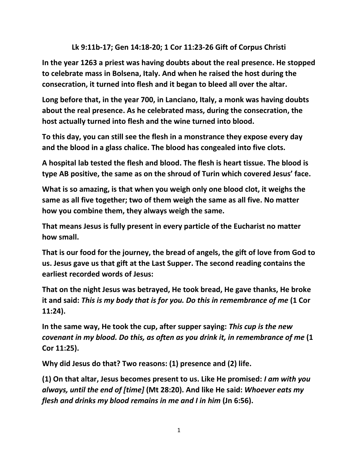## **Lk 9:11b-17; Gen 14:18-20; 1 Cor 11:23-26 Gift of Corpus Christi**

**In the year 1263 a priest was having doubts about the real presence. He stopped to celebrate mass in Bolsena, Italy. And when he raised the host during the consecration, it turned into flesh and it began to bleed all over the altar.** 

**Long before that, in the year 700, in Lanciano, Italy, a monk was having doubts about the real presence. As he celebrated mass, during the consecration, the host actually turned into flesh and the wine turned into blood.** 

**To this day, you can still see the flesh in a monstrance they expose every day and the blood in a glass chalice. The blood has congealed into five clots.** 

**A hospital lab tested the flesh and blood. The flesh is heart tissue. The blood is type AB positive, the same as on the shroud of Turin which covered Jesus' face.** 

**What is so amazing, is that when you weigh only one blood clot, it weighs the same as all five together; two of them weigh the same as all five. No matter how you combine them, they always weigh the same.** 

**That means Jesus is fully present in every particle of the Eucharist no matter how small.**

**That is our food for the journey, the bread of angels, the gift of love from God to us. Jesus gave us that gift at the Last Supper. The second reading contains the earliest recorded words of Jesus:** 

**That on the night Jesus was betrayed, He took bread, He gave thanks, He broke it and said:** *This is my body that is for you. Do this in remembrance of me* **(1 Cor 11:24).** 

**In the same way, He took the cup, after supper saying:** *This cup is the new covenant in my blood. Do this, as often as you drink it, in remembrance of me* **(1 Cor 11:25).** 

**Why did Jesus do that? Two reasons: (1) presence and (2) life.** 

**(1) On that altar, Jesus becomes present to us. Like He promised:** *I am with you always, until the end of [time]* **(Mt 28:20). And like He said:** *Whoever eats my flesh and drinks my blood remains in me and I in him* **(Jn 6:56).**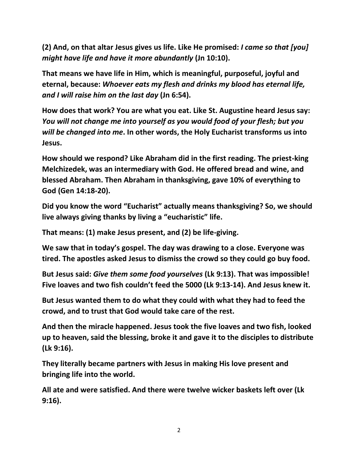**(2) And, on that altar Jesus gives us life. Like He promised:** *I came so that [you] might have life and have it more abundantly* **(Jn 10:10).** 

**That means we have life in Him, which is meaningful, purposeful, joyful and eternal, because:** *Whoever eats my flesh and drinks my blood has eternal life, and I will raise him on the last day* **(Jn 6:54).** 

**How does that work? You are what you eat. Like St. Augustine heard Jesus say:**  *You will not change me into yourself as you would food of your flesh; but you will be changed into me***. In other words, the Holy Eucharist transforms us into Jesus.** 

**How should we respond? Like Abraham did in the first reading. The priest-king Melchizedek, was an intermediary with God. He offered bread and wine, and blessed Abraham. Then Abraham in thanksgiving, gave 10% of everything to God (Gen 14:18-20).** 

**Did you know the word "Eucharist" actually means thanksgiving? So, we should live always giving thanks by living a "eucharistic" life.** 

**That means: (1) make Jesus present, and (2) be life-giving.** 

**We saw that in today's gospel. The day was drawing to a close. Everyone was tired. The apostles asked Jesus to dismiss the crowd so they could go buy food.**

**But Jesus said:** *Give them some food yourselves* **(Lk 9:13). That was impossible! Five loaves and two fish couldn't feed the 5000 (Lk 9:13-14). And Jesus knew it.**

**But Jesus wanted them to do what they could with what they had to feed the crowd, and to trust that God would take care of the rest.**

**And then the miracle happened. Jesus took the five loaves and two fish, looked up to heaven, said the blessing, broke it and gave it to the disciples to distribute (Lk 9:16).** 

**They literally became partners with Jesus in making His love present and bringing life into the world.** 

**All ate and were satisfied. And there were twelve wicker baskets left over (Lk 9:16).**